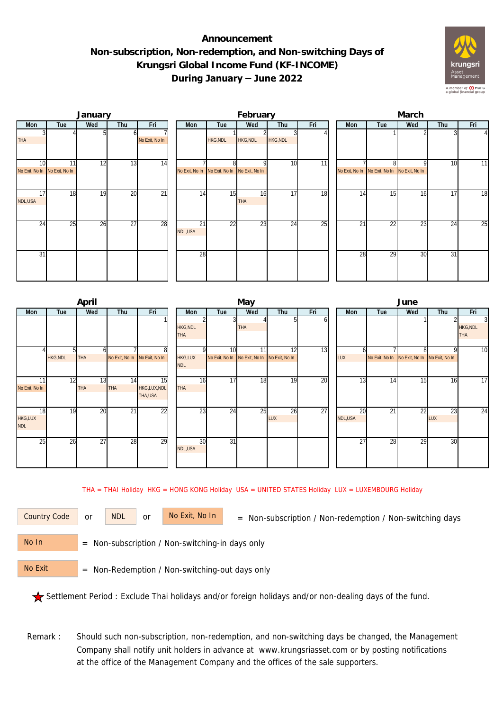## **Announcement Non-subscription, Non-redemption, and Non-switching Days of Krungsri Global Income Fund (KF-INCOME) During January – June 2022**



|                                                  |     | January |                 |                 |                                              |                 | February         |          |     | March |                                              |                 |     |     |     |  |
|--------------------------------------------------|-----|---------|-----------------|-----------------|----------------------------------------------|-----------------|------------------|----------|-----|-------|----------------------------------------------|-----------------|-----|-----|-----|--|
| Mon                                              | Tue | Wed     | Thu             | Fri             | Mon                                          | Tue             | Wed              | Thu      | Fri |       | Mon                                          | Tue             | Wed | Thu | Fri |  |
| <b>THA</b>                                       |     |         |                 | No Exit, No In  |                                              | <b>HKG, NDL</b> | HKG, NDL         | HKG, NDL |     |       |                                              |                 |     |     |     |  |
| 10 <sup>1</sup><br>No Exit, No In No Exit, No In | 11  | 12      | 13              | 14              | No Exit, No In No Exit, No In No Exit, No In | 81              |                  | 10       | 11  |       | No Exit, No In No Exit, No In No Exit, No In |                 | ο   | 10  | 11  |  |
| 17<br>NDL, USA                                   | 18  | 19      | $\overline{20}$ | $\overline{21}$ | 14                                           | 15              | 16<br><b>THA</b> | 17       | 18  |       | 14                                           | 15              | 16  | 17  | 18  |  |
| 24                                               | 25  | 26      | $\overline{27}$ | 28              | 21<br>NDL,USA                                | 22              | 23               | 24       | 25  |       | 21                                           | $\overline{22}$ | 23  | 24  | 25  |  |
| 31                                               |     |         |                 |                 | 28                                           |                 |                  |          |     |       | 28                                           | 29              | 30  | 31  |     |  |

|                             |     | April            |                               |                               |                               |                 | May                                                |                  |     | June          |     |                                              |           |                                    |  |  |
|-----------------------------|-----|------------------|-------------------------------|-------------------------------|-------------------------------|-----------------|----------------------------------------------------|------------------|-----|---------------|-----|----------------------------------------------|-----------|------------------------------------|--|--|
| Mon                         | Tue | Wed              | Thu                           | Fri                           | Mon                           | Tue             | Wed                                                | Thu              | Fri | Mon           | Tue | Wed                                          | Thu       | Fri                                |  |  |
|                             |     |                  |                               |                               | <b>HKG, NDL</b><br><b>THA</b> |                 | <b>THA</b>                                         |                  | b   |               |     |                                              |           | 3<br><b>HKG, NDL</b><br><b>THA</b> |  |  |
| <b>HKG, NDL</b>             |     | <b>THA</b>       | No Exit, No In No Exit, No In | 81                            | <b>HKG,LUX</b><br><b>NDL</b>  | 10 <sup>1</sup> | 11<br>No Exit, No In No Exit, No In No Exit, No In | 12               | 13  | LUX           |     | No Exit, No In No Exit, No In No Exit, No In | Q         | 10                                 |  |  |
| 11<br>No Exit, No In        | 12  | 13<br><b>THA</b> | 14<br><b>THA</b>              | 15<br>HKG,LUX,NDL<br>THA, USA | 16<br><b>THA</b>              | $\overline{17}$ | 18                                                 | 19               | 20  | 13            | 14  | 15                                           | 16        | $\overline{17}$                    |  |  |
| 18<br>HKG,LUX<br><b>NDL</b> | 19  | 20               | $\overline{21}$               | 22                            | $2\overline{3}$               | 24              | 25                                                 | 26<br><b>LUX</b> | 27  | 20<br>NDL,USA | 21  | $2\overline{2}$                              | 23<br>LUX | $\overline{24}$                    |  |  |
| 25                          | 26  | 27               | 28                            | 29                            | 30<br>NDL,USA                 | $\overline{31}$ |                                                    |                  |     | 27            | 28  | 29                                           | 30        |                                    |  |  |

THA = THAI Holiday HKG = HONG KONG Holiday USA = UNITED STATES Holiday LUX = LUXEMBOURG Holiday

or NDL or

Country Code or NDL or No Exit, No In = Non-subscription / Non-redemption / Non-switching days

 = Non-subscription / Non-switching-in days only No In

 = Non-Redemption / Non-switching-out days only No Exit

Settlement Period : Exclude Thai holidays and/or foreign holidays and/or non-dealing days of the fund.

Remark : Should such non-subscription, non-redemption, and non-switching days be changed, the Management Company shall notify unit holders in advance at www.krungsriasset.com or by posting notifications at the office of the Management Company and the offices of the sale supporters.